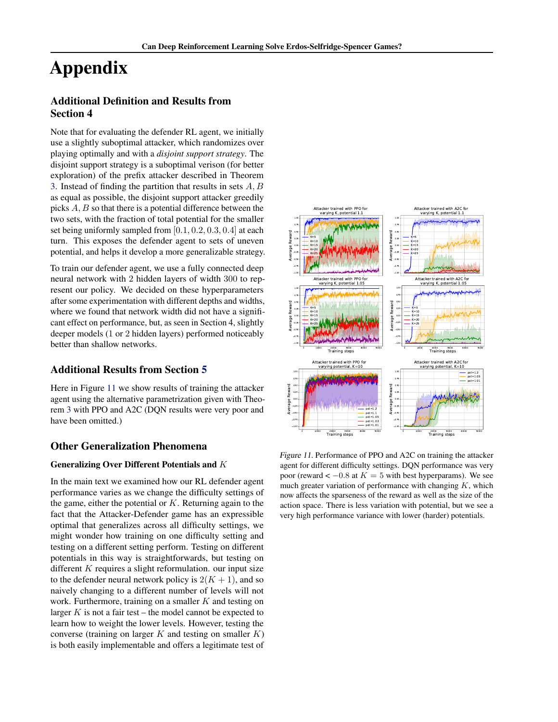# <span id="page-0-0"></span>Appendix

# Additional Definition and Results from Section 4

Note that for evaluating the defender RL agent, we initially use a slightly suboptimal attacker, which randomizes over playing optimally and with a *disjoint support strategy*. The disjoint support strategy is a suboptimal verison (for better exploration) of the prefix attacker described in Theorem 3. Instead of finding the partition that results in sets A, B as equal as possible, the disjoint support attacker greedily picks A, B so that there is a potential difference between the two sets, with the fraction of total potential for the smaller set being uniformly sampled from [0.1, 0.2, 0.3, 0.4] at each turn. This exposes the defender agent to sets of uneven potential, and helps it develop a more generalizable strategy.

To train our defender agent, we use a fully connected deep neural network with 2 hidden layers of width 300 to represent our policy. We decided on these hyperparameters after some experimentation with different depths and widths, where we found that network width did not have a significant effect on performance, but, as seen in Section 4, slightly deeper models (1 or 2 hidden layers) performed noticeably better than shallow networks.

## Additional Results from Section 5

Here in Figure 11 we show results of training the attacker agent using the alternative parametrization given with Theorem 3 with PPO and A2C (DQN results were very poor and have been omitted.)

# Other Generalization Phenomena

## Generalizing Over Different Potentials and K

In the main text we examined how our RL defender agent performance varies as we change the difficulty settings of the game, either the potential or  $K$ . Returning again to the fact that the Attacker-Defender game has an expressible optimal that generalizes across all difficulty settings, we might wonder how training on one difficulty setting and testing on a different setting perform. Testing on different potentials in this way is straightforwards, but testing on different  $K$  requires a slight reformulation. our input size to the defender neural network policy is  $2(K + 1)$ , and so naively changing to a different number of levels will not work. Furthermore, training on a smaller  $K$  and testing on larger  $K$  is not a fair test – the model cannot be expected to learn how to weight the lower levels. However, testing the converse (training on larger  $K$  and testing on smaller  $K$ ) is both easily implementable and offers a legitimate test of



Figure 11. Performance of PPO and A2C on training the attacker agent for different difficulty settings. DQN performance was very poor (reward <  $-0.8$  at  $K = 5$  with best hyperparams). We see much greater variation of performance with changing  $K$ , which now affects the sparseness of the reward as well as the size of the action space. There is less variation with potential, but we see a very high performance variance with lower (harder) potentials.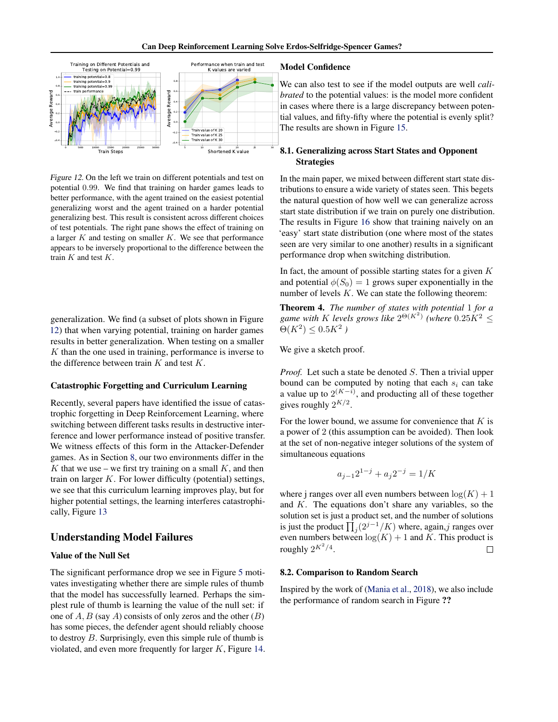

Figure 12. On the left we train on different potentials and test on potential 0.99. We find that training on harder games leads to better performance, with the agent trained on the easiest potential generalizing worst and the agent trained on a harder potential generalizing best. This result is consistent across different choices of test potentials. The right pane shows the effect of training on a larger  $K$  and testing on smaller  $K$ . We see that performance appears to be inversely proportional to the difference between the train  $K$  and test  $K$ .

generalization. We find (a subset of plots shown in Figure 12) that when varying potential, training on harder games results in better generalization. When testing on a smaller  $K$  than the one used in training, performance is inverse to the difference between train  $K$  and test  $K$ .

#### Catastrophic Forgetting and Curriculum Learning

Recently, several papers have identified the issue of catastrophic forgetting in Deep Reinforcement Learning, where switching between different tasks results in destructive interference and lower performance instead of positive transfer. We witness effects of this form in the Attacker-Defender games. As in Section [8,](#page-0-0) our two environments differ in the K that we use – we first try training on a small  $K$ , and then train on larger  $K$ . For lower difficulty (potential) settings, we see that this curriculum learning improves play, but for higher potential settings, the learning interferes catastrophically, Figure [13](#page-2-0)

### Understanding Model Failures

#### Value of the Null Set

The significant performance drop we see in Figure 5 motivates investigating whether there are simple rules of thumb that the model has successfully learned. Perhaps the simplest rule of thumb is learning the value of the null set: if one of  $A, B$  (say A) consists of only zeros and the other  $(B)$ has some pieces, the defender agent should reliably choose to destroy B. Surprisingly, even this simple rule of thumb is violated, and even more frequently for larger  $K$ , Figure [14.](#page-2-0)

#### Model Confidence

We can also test to see if the model outputs are well *calibrated* to the potential values: is the model more confident in cases where there is a large discrepancy between potential values, and fifty-fifty where the potential is evenly split? The results are shown in Figure [15.](#page-2-0)

## 8.1. Generalizing across Start States and Opponent Strategies

In the main paper, we mixed between different start state distributions to ensure a wide variety of states seen. This begets the natural question of how well we can generalize across start state distribution if we train on purely one distribution. The results in Figure [16](#page-3-0) show that training naively on an 'easy' start state distribution (one where most of the states seen are very similar to one another) results in a significant performance drop when switching distribution.

In fact, the amount of possible starting states for a given  $K$ and potential  $\phi(S_0) = 1$  grows super exponentially in the number of levels  $K$ . We can state the following theorem:

Theorem 4. *The number of states with potential* 1 *for a* game with *K* levels grows like  $2^{\Theta(K^2)}$  (where  $0.25K^2 \leq$  $\Theta(K^2) \leq 0.5K^2$ )

We give a sketch proof.

*Proof.* Let such a state be denoted S. Then a trivial upper bound can be computed by noting that each  $s_i$  can take a value up to  $2^{(K-i)}$ , and producting all of these together gives roughly  $2^{K/2}$ .

For the lower bound, we assume for convenience that  $K$  is a power of 2 (this assumption can be avoided). Then look at the set of non-negative integer solutions of the system of simultaneous equations

$$
a_{j-1}2^{1-j} + a_j 2^{-j} = 1/K
$$

where j ranges over all even numbers between  $log(K) + 1$ and K. The equations don't share any variables, so the solution set is just a product set, and the number of solutions is just the product  $\prod_j (2^{j-1}/K)$  where, again,j ranges over even numbers between  $log(K) + 1$  and K. This product is roughly  $2^{K^2/4}$ .  $\Box$ 

### 8.2. Comparison to Random Search

Inspired by the work of (Mania et al., 2018), we also include the performance of random search in Figure ??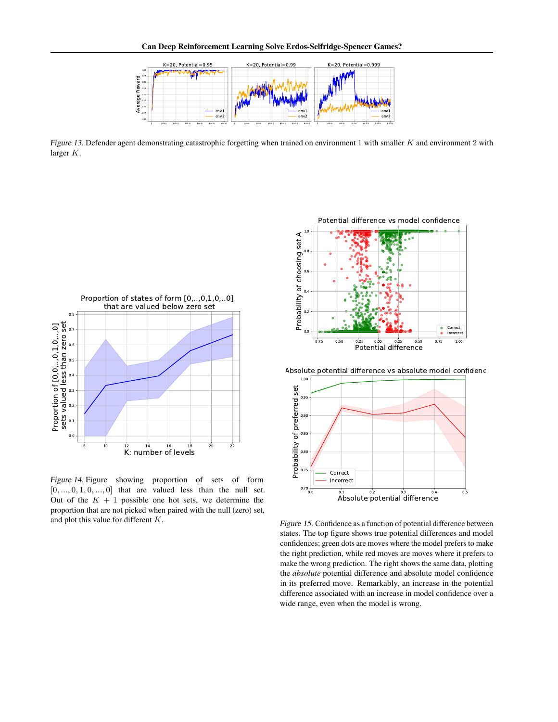<span id="page-2-0"></span>

Figure 13. Defender agent demonstrating catastrophic forgetting when trained on environment 1 with smaller K and environment 2 with larger K.



Figure 14. Figure showing proportion of sets of form  $[0, ..., 0, 1, 0, ..., 0]$  that are valued less than the null set. Out of the  $K + 1$  possible one hot sets, we determine the proportion that are not picked when paired with the null (zero) set, and plot this value for different K.



Absolute potential difference vs absolute model confidence



Figure 15. Confidence as a function of potential difference between states. The top figure shows true potential differences and model confidences; green dots are moves where the model prefers to make the right prediction, while red moves are moves where it prefers to make the wrong prediction. The right shows the same data, plotting the *absolute* potential difference and absolute model confidence in its preferred move. Remarkably, an increase in the potential difference associated with an increase in model confidence over a wide range, even when the model is wrong.